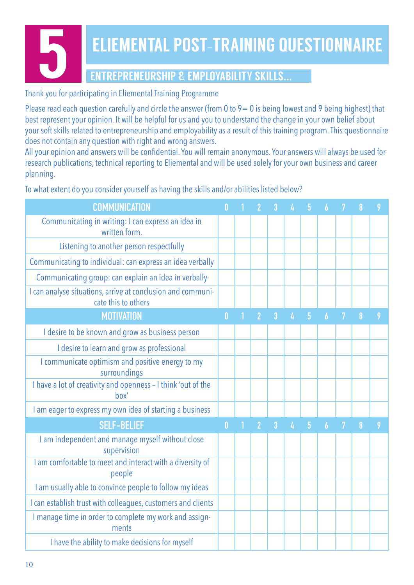# 5 ELIEMENTAL POST-TRAINING QUESTIONNAIRE ENTREPRENEURSHIP & EMPLOYABILITY SKILLS...

### Thank you for participating in Eliemental Training Programme

Please read each question carefully and circle the answer (from 0 to  $9=0$  is being lowest and 9 being highest) that best represent your opinion. It will be helpful for us and you to understand the change in your own belief about your soft skills related to entrepreneurship and employability as a result of this training program. This questionnaire does not contain any question with right and wrong answers.

All your opinion and answers will be confidential. You will remain anonymous. Your answers will always be used for research publications, technical reporting to Eliemental and will be used solely for your own business and career planning.

To what extent do you consider yourself as having the skills and/or abilities listed below?

| <b>COMMUNICATION</b>                                                               |          |                |                |                |                |                  |   |   |   |
|------------------------------------------------------------------------------------|----------|----------------|----------------|----------------|----------------|------------------|---|---|---|
| Communicating in writing: I can express an idea in<br>written form.                |          |                |                |                |                |                  |   |   |   |
| Listening to another person respectfully                                           |          |                |                |                |                |                  |   |   |   |
| Communicating to individual: can express an idea verbally                          |          |                |                |                |                |                  |   |   |   |
| Communicating group: can explain an idea in verbally                               |          |                |                |                |                |                  |   |   |   |
| I can analyse situations, arrive at conclusion and communi-<br>cate this to others |          |                |                |                |                |                  |   |   |   |
| <b>MOTIVATION</b>                                                                  | $\bf{0}$ | $\overline{2}$ | $\overline{3}$ | 4              | 5              | 6                |   | 8 | 9 |
| I desire to be known and grow as business person                                   |          |                |                |                |                |                  |   |   |   |
| I desire to learn and grow as professional                                         |          |                |                |                |                |                  |   |   |   |
| I communicate optimism and positive energy to my<br>surroundings                   |          |                |                |                |                |                  |   |   |   |
| I have a lot of creativity and openness - I think 'out of the<br>box'              |          |                |                |                |                |                  |   |   |   |
| I am eager to express my own idea of starting a business                           |          |                |                |                |                |                  |   |   |   |
| <b>SELF-BELIEF</b>                                                                 |          | $\overline{2}$ | $\overline{3}$ | $\overline{4}$ | $\overline{5}$ | $\boldsymbol{6}$ | 7 | 8 | 9 |
| I am independent and manage myself without close<br>supervision                    |          |                |                |                |                |                  |   |   |   |
| I am comfortable to meet and interact with a diversity of<br>people                |          |                |                |                |                |                  |   |   |   |
| I am usually able to convince people to follow my ideas                            |          |                |                |                |                |                  |   |   |   |
| I can establish trust with colleagues, customers and clients                       |          |                |                |                |                |                  |   |   |   |
| I manage time in order to complete my work and assign-<br>ments                    |          |                |                |                |                |                  |   |   |   |
| I have the ability to make decisions for myself                                    |          |                |                |                |                |                  |   |   |   |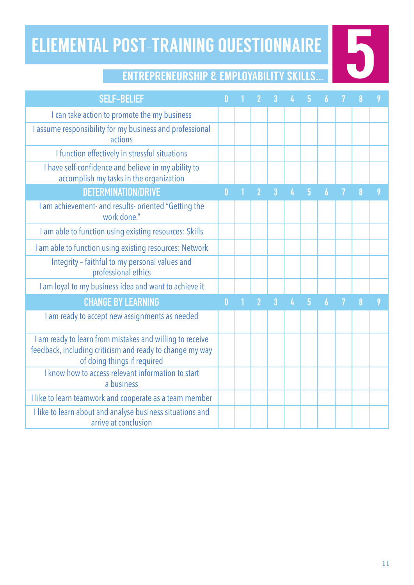# ELIEMENTAL POST-TRAINING QUESTIONNAIRE OST-TRAINING QUESTIONNAIRE

| <b>SELF-BELIEF</b>                                                                                                                                  |              |   |                |                |                |                |                  |   |   |   |
|-----------------------------------------------------------------------------------------------------------------------------------------------------|--------------|---|----------------|----------------|----------------|----------------|------------------|---|---|---|
| I can take action to promote the my business                                                                                                        |              |   |                |                |                |                |                  |   |   |   |
| I assume responsibility for my business and professional<br>actions                                                                                 |              |   |                |                |                |                |                  |   |   |   |
| I function effectively in stressful situations                                                                                                      |              |   |                |                |                |                |                  |   |   |   |
| I have self-confidence and believe in my ability to<br>accomplish my tasks in the organization                                                      |              |   |                |                |                |                |                  |   |   |   |
| <b>DETERMINATION/DRIVE</b>                                                                                                                          | $\mathbf{0}$ | 1 | $\overline{2}$ | $\overline{3}$ | $\overline{4}$ | $\overline{5}$ | $\overline{6}$   | 7 | 8 | 9 |
| I am achievement- and results- oriented "Getting the<br>work done."                                                                                 |              |   |                |                |                |                |                  |   |   |   |
| I am able to function using existing resources: Skills                                                                                              |              |   |                |                |                |                |                  |   |   |   |
| I am able to function using existing resources: Network                                                                                             |              |   |                |                |                |                |                  |   |   |   |
| Integrity - faithful to my personal values and<br>professional ethics                                                                               |              |   |                |                |                |                |                  |   |   |   |
| I am loyal to my business idea and want to achieve it                                                                                               |              |   |                |                |                |                |                  |   |   |   |
| <b>CHANGE BY LEARNING</b>                                                                                                                           |              |   | $\overline{2}$ | $\overline{3}$ | $\overline{A}$ | $\overline{5}$ | $\boldsymbol{6}$ |   | 8 | 9 |
| I am ready to accept new assignments as needed                                                                                                      |              |   |                |                |                |                |                  |   |   |   |
| I am ready to learn from mistakes and willing to receive<br>feedback, including criticism and ready to change my way<br>of doing things if required |              |   |                |                |                |                |                  |   |   |   |
| I know how to access relevant information to start<br>a business                                                                                    |              |   |                |                |                |                |                  |   |   |   |
| I like to learn teamwork and cooperate as a team member                                                                                             |              |   |                |                |                |                |                  |   |   |   |
| I like to learn about and analyse business situations and<br>arrive at conclusion                                                                   |              |   |                |                |                |                |                  |   |   |   |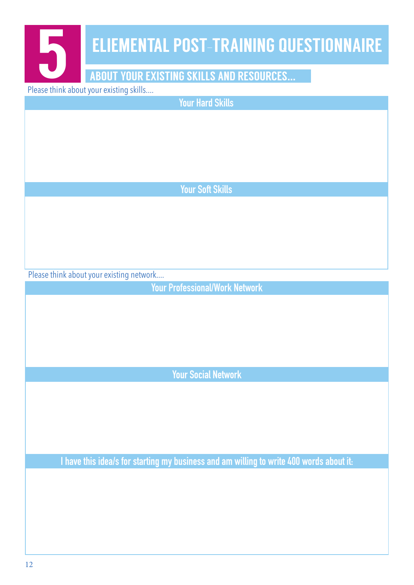| <b>ELIEMENTAL POST-TRAINING QUESTIONNAIRE</b>                                           |
|-----------------------------------------------------------------------------------------|
| 5                                                                                       |
| <b>ABOUT YOUR EXISTING SKILLS AND RESOURCES</b>                                         |
| Please think about your existing skills                                                 |
| <b>Your Hard Skills</b>                                                                 |
|                                                                                         |
|                                                                                         |
|                                                                                         |
|                                                                                         |
| <b>Your Soft Skills</b>                                                                 |
|                                                                                         |
|                                                                                         |
|                                                                                         |
|                                                                                         |
| Please think about your existing network                                                |
| <b>Your Professional/Work Network</b>                                                   |
|                                                                                         |
|                                                                                         |
|                                                                                         |
|                                                                                         |
| <b>Your Social Network</b>                                                              |
|                                                                                         |
|                                                                                         |
|                                                                                         |
|                                                                                         |
|                                                                                         |
| I have this idea/s for starting my business and am willing to write 400 words about it: |
|                                                                                         |
|                                                                                         |
|                                                                                         |
|                                                                                         |
|                                                                                         |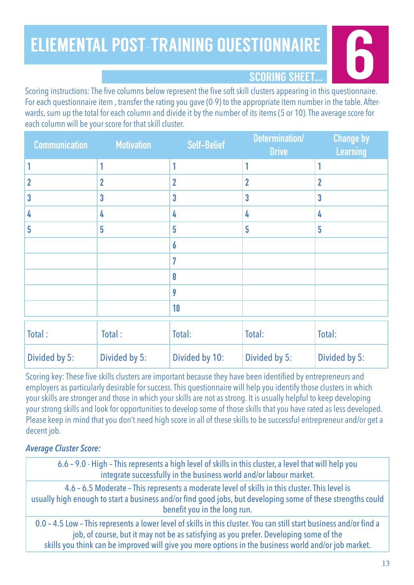## 6 ELIEMENTAL POST-TRAINING QUESTIONNAIRE



Scoring instructions: The five columns below represent the five soft skill clusters appearing in this questionnaire. For each questionnaire item , transfer the rating you gave (0-9) to the appropriate item number in the table. Afterwards, sum up the total for each column and divide it by the number of its items (5 or 10). The average score for each column will be your score for that skill cluster.

| <b>Communication</b> | <b>Motivation</b> | Self-Belief    | Determination/<br><b>Drive</b> | <b>Change by</b><br>Learning |
|----------------------|-------------------|----------------|--------------------------------|------------------------------|
|                      |                   |                |                                |                              |
|                      | $\overline{2}$    | $\overline{2}$ | $\overline{2}$                 | $\overline{2}$               |
| 3                    | $\mathbf{3}$      | 3              | $\overline{3}$                 | 3                            |
|                      | 4                 | 4              | 4                              | 4                            |
| 5                    | 5                 | 5              | 5                              | 5                            |
|                      |                   | 6              |                                |                              |
|                      |                   | 7              |                                |                              |
|                      |                   | 8              |                                |                              |
|                      |                   | 9              |                                |                              |
|                      |                   | 10             |                                |                              |
|                      |                   |                |                                |                              |

| Total:        | Total:        | Total:         | Total:        | Total:        |
|---------------|---------------|----------------|---------------|---------------|
| Divided by 5: | Divided by 5: | Divided by 10: | Divided by 5: | Divided by 5: |

Scoring key: These five skills clusters are important because they have been identified by entrepreneurs and employers as particularly desirable for success. This questionnaire will help you identify those clusters in which your skills are stronger and those in which your skills are not as strong. It is usually helpful to keep developing your strong skills and look for opportunities to develop some of those skills that you have rated as less developed. Please keep in mind that you don't need high score in all of these skills to be successful entrepreneur and/or get a decent job.

### *Average Cluster Score:*

6.6 – 9.0 - High – This represents a high level of skills in this cluster, a level that will help you integrate successfully in the business world and/or labour market.

4.6 – 6.5 Moderate – This represents a moderate level of skills in this cluster. This level is usually high enough to start a business and/or find good jobs, but developing some of these strengths could benefit you in the long run.

0.0 – 4.5 Low – This represents a lower level of skills in this cluster. You can still start business and/or find a job, of course, but it may not be as satisfying as you prefer. Developing some of the skills you think can be improved will give you more options in the business world and/or job market.